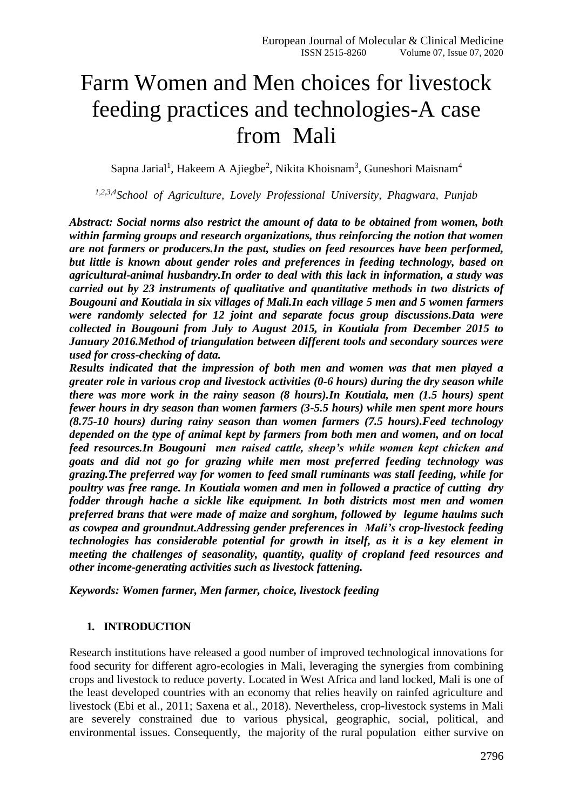# Farm Women and Men choices for livestock feeding practices and technologies-A case from Mali

Sapna Jarial<sup>1</sup>, Hakeem A Ajiegbe<sup>2</sup>, Nikita Khoisnam<sup>3</sup>, Guneshori Maisnam<sup>4</sup>

*1,2,3,4School of Agriculture, Lovely Professional University, Phagwara, Punjab*

*Abstract: Social norms also restrict the amount of data to be obtained from women, both within farming groups and research organizations, thus reinforcing the notion that women are not farmers or producers.In the past, studies on feed resources have been performed, but little is known about gender roles and preferences in feeding technology, based on agricultural-animal husbandry.In order to deal with this lack in information, a study was carried out by 23 instruments of qualitative and quantitative methods in two districts of Bougouni and Koutiala in six villages of Mali.In each village 5 men and 5 women farmers were randomly selected for 12 joint and separate focus group discussions.Data were collected in Bougouni from July to August 2015, in Koutiala from December 2015 to January 2016.Method of triangulation between different tools and secondary sources were used for cross-checking of data.*

*Results indicated that the impression of both men and women was that men played a greater role in various crop and livestock activities (0-6 hours) during the dry season while there was more work in the rainy season (8 hours).In Koutiala, men (1.5 hours) spent fewer hours in dry season than women farmers (3-5.5 hours) while men spent more hours (8.75-10 hours) during rainy season than women farmers (7.5 hours).Feed technology depended on the type of animal kept by farmers from both men and women, and on local feed resources.In Bougouni men raised cattle, sheep's while women kept chicken and goats and did not go for grazing while men most preferred feeding technology was grazing.The preferred way for women to feed small ruminants was stall feeding, while for poultry was free range. In Koutiala women and men in followed a practice of cutting dry fodder through hache a sickle like equipment. In both districts most men and women preferred brans that were made of maize and sorghum, followed by legume haulms such as cowpea and groundnut.Addressing gender preferences in Mali's crop-livestock feeding technologies has considerable potential for growth in itself, as it is a key element in meeting the challenges of seasonality, quantity, quality of cropland feed resources and other income-generating activities such as livestock fattening.*

*Keywords: Women farmer, Men farmer, choice, livestock feeding* 

#### **1. INTRODUCTION**

Research institutions have released a good number of improved technological innovations for food security for different agro-ecologies in Mali, leveraging the synergies from combining crops and livestock to reduce poverty. Located in West Africa and land locked, Mali is one of the least developed countries with an economy that relies heavily on rainfed agriculture and livestock (Ebi et al., 2011; Saxena et al., 2018). Nevertheless, crop-livestock systems in Mali are severely constrained due to various physical, geographic, social, political, and environmental issues. Consequently, the majority of the rural population either survive on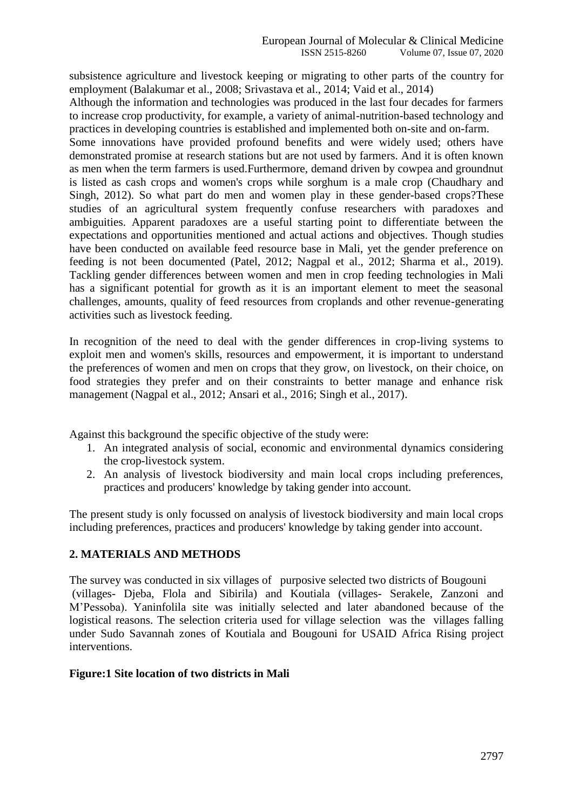subsistence agriculture and livestock keeping or migrating to other parts of the country for employment (Balakumar et al., 2008; Srivastava et al., 2014; Vaid et al., 2014)

Although the information and technologies was produced in the last four decades for farmers to increase crop productivity, for example, a variety of animal-nutrition-based technology and practices in developing countries is established and implemented both on-site and on-farm.

Some innovations have provided profound benefits and were widely used; others have demonstrated promise at research stations but are not used by farmers. And it is often known as men when the term farmers is used.Furthermore, demand driven by cowpea and groundnut is listed as cash crops and women's crops while sorghum is a male crop (Chaudhary and Singh, 2012). So what part do men and women play in these gender-based crops?These studies of an agricultural system frequently confuse researchers with paradoxes and ambiguities. Apparent paradoxes are a useful starting point to differentiate between the expectations and opportunities mentioned and actual actions and objectives. Though studies have been conducted on available feed resource base in Mali, yet the gender preference on feeding is not been documented (Patel, 2012; Nagpal et al., 2012; Sharma et al., 2019). Tackling gender differences between women and men in crop feeding technologies in Mali has a significant potential for growth as it is an important element to meet the seasonal challenges, amounts, quality of feed resources from croplands and other revenue-generating activities such as livestock feeding.

In recognition of the need to deal with the gender differences in crop-living systems to exploit men and women's skills, resources and empowerment, it is important to understand the preferences of women and men on crops that they grow, on livestock, on their choice, on food strategies they prefer and on their constraints to better manage and enhance risk management (Nagpal et al., 2012; Ansari et al., 2016; Singh et al., 2017).

Against this background the specific objective of the study were:

- 1. An integrated analysis of social, economic and environmental dynamics considering the crop-livestock system.
- 2. An analysis of livestock biodiversity and main local crops including preferences, practices and producers' knowledge by taking gender into account.

The present study is only focussed on analysis of livestock biodiversity and main local crops including preferences, practices and producers' knowledge by taking gender into account.

## **2. MATERIALS AND METHODS**

The survey was conducted in six villages of purposive selected two districts of Bougouni (villages- Djeba, Flola and Sibirila) and Koutiala (villages- Serakele, Zanzoni and M'Pessoba). Yaninfolila site was initially selected and later abandoned because of the logistical reasons. The selection criteria used for village selection was the villages falling under Sudo Savannah zones of Koutiala and Bougouni for USAID Africa Rising project interventions.

#### **Figure:1 Site location of two districts in Mali**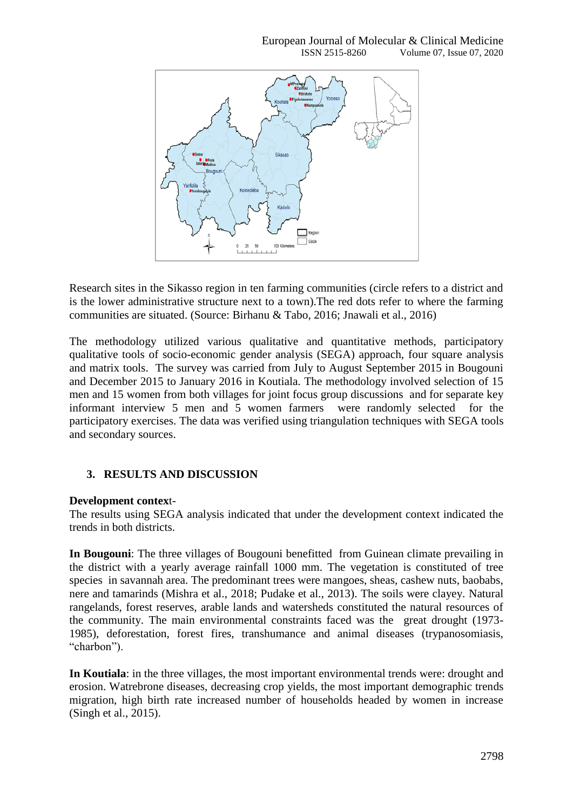

Research sites in the Sikasso region in ten farming communities (circle refers to a district and is the lower administrative structure next to a town).The red dots refer to where the farming communities are situated. (Source: Birhanu & Tabo, 2016; Jnawali et al., 2016)

The methodology utilized various qualitative and quantitative methods, participatory qualitative tools of socio-economic gender analysis (SEGA) approach, four square analysis and matrix tools. The survey was carried from July to August September 2015 in Bougouni and December 2015 to January 2016 in Koutiala. The methodology involved selection of 15 men and 15 women from both villages for joint focus group discussions and for separate key informant interview 5 men and 5 women farmers were randomly selected for the participatory exercises. The data was verified using triangulation techniques with SEGA tools and secondary sources.

## **3. RESULTS AND DISCUSSION**

#### **Development contex**t-

The results using SEGA analysis indicated that under the development context indicated the trends in both districts.

**In Bougouni**: The three villages of Bougouni benefitted from Guinean climate prevailing in the district with a yearly average rainfall 1000 mm. The vegetation is constituted of tree species in savannah area. The predominant trees were mangoes, sheas, cashew nuts, baobabs, nere and tamarinds (Mishra et al., 2018; Pudake et al., 2013). The soils were clayey. Natural rangelands, forest reserves, arable lands and watersheds constituted the natural resources of the community. The main environmental constraints faced was the great drought (1973- 1985), deforestation, forest fires, transhumance and animal diseases (trypanosomiasis, "charbon").

**In Koutiala**: in the three villages, the most important environmental trends were: drought and erosion. Watrebrone diseases, decreasing crop yields, the most important demographic trends migration, high birth rate increased number of households headed by women in increase (Singh et al., 2015).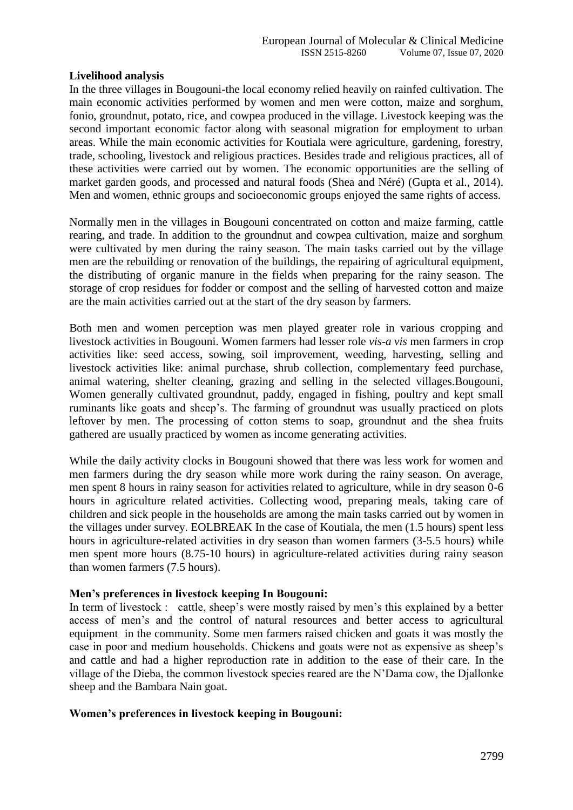## **Livelihood analysis**

In the three villages in Bougouni-the local economy relied heavily on rainfed cultivation. The main economic activities performed by women and men were cotton, maize and sorghum, fonio, groundnut, potato, rice, and cowpea produced in the village. Livestock keeping was the second important economic factor along with seasonal migration for employment to urban areas. While the main economic activities for Koutiala were agriculture, gardening, forestry, trade, schooling, livestock and religious practices. Besides trade and religious practices, all of these activities were carried out by women. The economic opportunities are the selling of market garden goods, and processed and natural foods (Shea and Néré) (Gupta et al., 2014). Men and women, ethnic groups and socioeconomic groups enjoyed the same rights of access.

Normally men in the villages in Bougouni concentrated on cotton and maize farming, cattle rearing, and trade. In addition to the groundnut and cowpea cultivation, maize and sorghum were cultivated by men during the rainy season. The main tasks carried out by the village men are the rebuilding or renovation of the buildings, the repairing of agricultural equipment, the distributing of organic manure in the fields when preparing for the rainy season. The storage of crop residues for fodder or compost and the selling of harvested cotton and maize are the main activities carried out at the start of the dry season by farmers.

Both men and women perception was men played greater role in various cropping and livestock activities in Bougouni. Women farmers had lesser role *vis-a vis* men farmers in crop activities like: seed access, sowing, soil improvement, weeding, harvesting, selling and livestock activities like: animal purchase, shrub collection, complementary feed purchase, animal watering, shelter cleaning, grazing and selling in the selected villages.Bougouni, Women generally cultivated groundnut, paddy, engaged in fishing, poultry and kept small ruminants like goats and sheep's. The farming of groundnut was usually practiced on plots leftover by men. The processing of cotton stems to soap, groundnut and the shea fruits gathered are usually practiced by women as income generating activities.

While the daily activity clocks in Bougouni showed that there was less work for women and men farmers during the dry season while more work during the rainy season. On average, men spent 8 hours in rainy season for activities related to agriculture, while in dry season 0-6 hours in agriculture related activities. Collecting wood, preparing meals, taking care of children and sick people in the households are among the main tasks carried out by women in the villages under survey. EOLBREAK In the case of Koutiala, the men (1.5 hours) spent less hours in agriculture-related activities in dry season than women farmers (3-5.5 hours) while men spent more hours (8.75-10 hours) in agriculture-related activities during rainy season than women farmers (7.5 hours).

#### **Men's preferences in livestock keeping In Bougouni:**

In term of livestock : cattle, sheep's were mostly raised by men's this explained by a better access of men's and the control of natural resources and better access to agricultural equipment in the community. Some men farmers raised chicken and goats it was mostly the case in poor and medium households. Chickens and goats were not as expensive as sheep's and cattle and had a higher reproduction rate in addition to the ease of their care. In the village of the Dieba, the common livestock species reared are the N'Dama cow, the Djallonke sheep and the Bambara Nain goat.

#### **Women's preferences in livestock keeping in Bougouni:**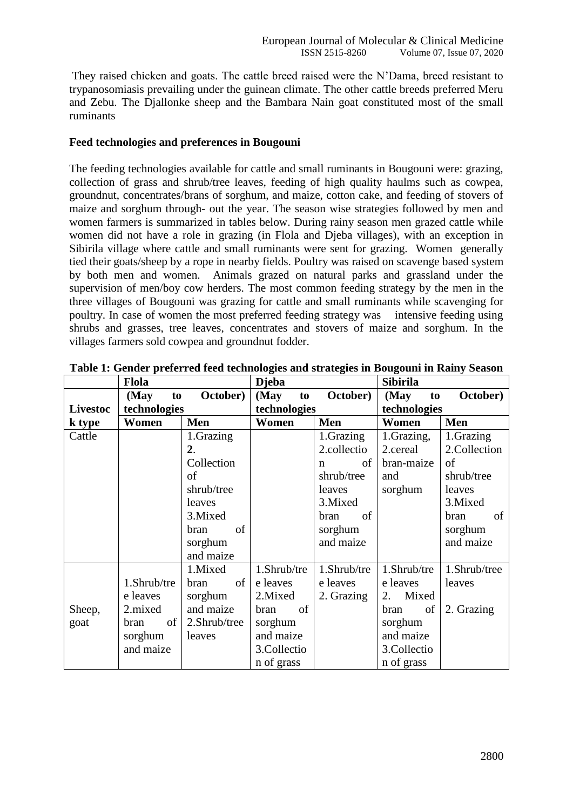They raised chicken and goats. The cattle breed raised were the N'Dama, breed resistant to trypanosomiasis prevailing under the guinean climate. The other cattle breeds preferred Meru and Zebu. The Djallonke sheep and the Bambara Nain goat constituted most of the small ruminants

## **Feed technologies and preferences in Bougouni**

The feeding technologies available for cattle and small ruminants in Bougouni were: grazing, collection of grass and shrub/tree leaves, feeding of high quality haulms such as cowpea, groundnut, concentrates/brans of sorghum, and maize, cotton cake, and feeding of stovers of maize and sorghum through- out the year. The season wise strategies followed by men and women farmers is summarized in tables below. During rainy season men grazed cattle while women did not have a role in grazing (in Flola and Djeba villages), with an exception in Sibirila village where cattle and small ruminants were sent for grazing. Women generally tied their goats/sheep by a rope in nearby fields. Poultry was raised on scavenge based system by both men and women. Animals grazed on natural parks and grassland under the supervision of men/boy cow herders. The most common feeding strategy by the men in the three villages of Bougouni was grazing for cattle and small ruminants while scavenging for poultry. In case of women the most preferred feeding strategy was intensive feeding using shrubs and grasses, tree leaves, concentrates and stovers of maize and sorghum. In the villages farmers sold cowpea and groundnut fodder.

|                 | <b>Flola</b> |                  | <b>Djeba</b> |             | <b>Sibirila</b> |              |  |
|-----------------|--------------|------------------|--------------|-------------|-----------------|--------------|--|
|                 | (May<br>to   | October)         | (May<br>to   | October)    | (May<br>to      | October)     |  |
| <b>Livestoc</b> | technologies |                  | technologies |             | technologies    |              |  |
| k type          | Women        | Men              | Women        | Men         | Women           | Men          |  |
| Cattle          |              | 1.Grazing        |              | 1.Grazing   | 1.Grazing,      | 1.Grazing    |  |
|                 |              | $\overline{2}$ . |              | 2.collectio | 2.cereal        | 2.Collection |  |
|                 |              | Collection       |              | οf<br>n     | bran-maize      | of           |  |
|                 |              | of               |              | shrub/tree  | and             | shrub/tree   |  |
|                 |              | shrub/tree       |              | leaves      | sorghum         | leaves       |  |
|                 |              | leaves           |              | 3. Mixed    |                 | 3.Mixed      |  |
|                 |              | 3. Mixed         |              | bran<br>of  |                 | of<br>bran   |  |
|                 |              | of<br>bran       |              | sorghum     |                 | sorghum      |  |
|                 |              | sorghum          |              | and maize   |                 | and maize    |  |
|                 |              | and maize        |              |             |                 |              |  |
|                 |              | 1.Mixed          | 1.Shrub/tre  | 1.Shrub/tre | 1.Shrub/tre     | 1.Shrub/tree |  |
|                 | 1.Shrub/tre  | of<br>bran       | e leaves     | e leaves    | e leaves        | leaves       |  |
|                 | e leaves     | sorghum          | 2.Mixed      | 2. Grazing  | Mixed<br>2.     |              |  |
| Sheep,          | 2.mixed      | and maize        | of<br>bran   |             | of<br>bran      | 2. Grazing   |  |
| goat            | of<br>bran   | 2.Shrub/tree     | sorghum      |             | sorghum         |              |  |
|                 | sorghum      | leaves           | and maize    |             | and maize       |              |  |
|                 | and maize    |                  | 3. Collectio |             | 3. Collectio    |              |  |
|                 |              |                  | n of grass   |             | n of grass      |              |  |

|  |  | Table 1: Gender preferred feed technologies and strategies in Bougouni in Rainy Season |
|--|--|----------------------------------------------------------------------------------------|
|  |  |                                                                                        |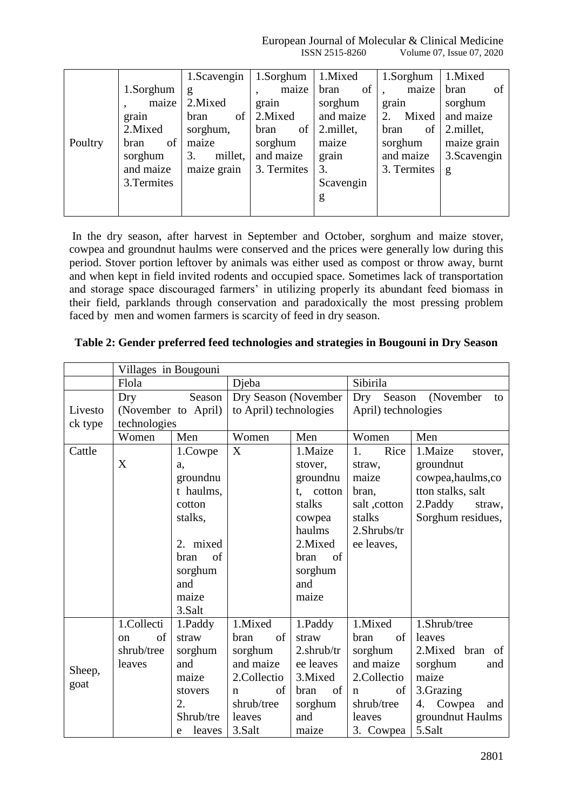European Journal of Molecular & Clinical Medicine ISSN 2515-8260 Volume 07, Issue 07, 2020

|         |             | 1. Scavengin  | 1.Sorghum    | 1.Mixed    | 1.Sorghum   | 1.Mixed      |
|---------|-------------|---------------|--------------|------------|-------------|--------------|
|         | 1.Sorghum   | g             | maize        | of<br>bran | maize       | bran<br>οf   |
|         | maize       | 2. Mixed      | grain        | sorghum    | grain       | sorghum      |
|         | grain       | of<br>bran    | 2. Mixed     | and maize  | Mixed<br>2. | and maize    |
|         | 2. Mixed    | sorghum,      | of  <br>bran | 2.millet,  | bran<br>of  | 2.millet,    |
| Poultry | of<br>bran  | maize         | sorghum      | maize      | sorghum     | maize grain  |
|         | sorghum     | 3.<br>millet, | and maize    | grain      | and maize   | 3. Scavengin |
|         | and maize   | maize grain   | 3. Termites  | 3.         | 3. Termites | g            |
|         | 3. Termites |               |              | Scavengin  |             |              |
|         |             |               |              | g          |             |              |
|         |             |               |              |            |             |              |

In the dry season, after harvest in September and October, sorghum and maize stover, cowpea and groundnut haulms were conserved and the prices were generally low during this period. Stover portion leftover by animals was either used as compost or throw away, burnt and when kept in field invited rodents and occupied space. Sometimes lack of transportation and storage space discouraged farmers' in utilizing properly its abundant feed biomass in their field, parklands through conservation and paradoxically the most pressing problem faced by men and women farmers is scarcity of feed in dry season.

|  | Table 2: Gender preferred feed technologies and strategies in Bougouni in Dry Season |  |  |  |  |  |
|--|--------------------------------------------------------------------------------------|--|--|--|--|--|
|  |                                                                                      |  |  |  |  |  |

|         | Villages in Bougouni |                  |                        |              |                     |                     |
|---------|----------------------|------------------|------------------------|--------------|---------------------|---------------------|
|         | Flola                |                  | Djeba                  |              | Sibirila            |                     |
|         | Dry                  | Season           | Dry Season (November   |              | Season<br>Dry       | (November<br>to     |
| Livesto | (November to April)  |                  | to April) technologies |              | April) technologies |                     |
| ck type | technologies         |                  |                        |              |                     |                     |
|         | Women                | Men              | Women                  | Men          | Women               | Men                 |
| Cattle  |                      | 1.Cowpe          | X                      | 1.Maize      | Rice<br>1.          | 1.Maize<br>stover,  |
|         | X                    | a.               |                        | stover,      | straw,              | groundnut           |
|         |                      | groundnu         |                        | groundnu     | maize               | cowpea, haulms, co  |
|         |                      | t haulms,        |                        | cotton<br>t. | bran,               | tton stalks, salt   |
|         |                      | cotton           |                        | stalks       | salt, cotton        | 2.Paddy<br>straw,   |
|         |                      | stalks,          |                        | cowpea       | stalks              | Sorghum residues,   |
|         |                      |                  |                        | haulms       | $2.$ Shrubs/tr      |                     |
|         |                      | mixed<br>2.      |                        | 2.Mixed      | ee leaves,          |                     |
|         |                      | of<br>bran       |                        | of<br>bran   |                     |                     |
|         |                      | sorghum          |                        | sorghum      |                     |                     |
|         |                      | and              |                        | and          |                     |                     |
|         |                      | maize            |                        | maize        |                     |                     |
|         |                      | 3.Salt           |                        |              |                     |                     |
|         | 1.Collecti           | 1.Paddy          | 1.Mixed                | 1.Paddy      | 1.Mixed             | 1.Shrub/tree        |
|         | of<br><sub>on</sub>  | straw            | of<br>bran             | straw        | of<br>bran          | leaves              |
|         | shrub/tree           | sorghum          | sorghum                | 2.shrub/tr   | sorghum             | 2. Mixed bran of    |
|         | leaves               | and              | and maize              | ee leaves    | and maize           | sorghum<br>and      |
| Sheep,  |                      | maize            | 2.Collectio            | 3. Mixed     | 2.Collectio         | maize               |
| goat    |                      | stovers          | of<br>n                | of<br>bran   | of<br>n             | 3.Grazing           |
|         |                      | $\overline{2}$ . | shrub/tree             | sorghum      | shrub/tree          | Cowpea<br>4.<br>and |
|         |                      | Shrub/tre        | leaves                 | and          | leaves              | groundnut Haulms    |
|         |                      | leaves<br>e      | 3.Salt                 | maize        | 3. Cowpea           | 5.Salt              |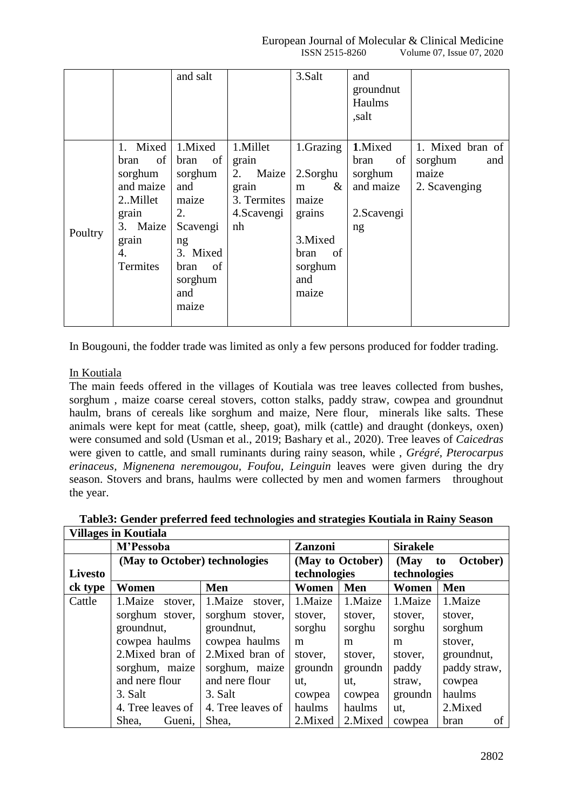|         |                                                                                                           | and salt                                                                                                                      |                                                                               | 3.Salt                                                                                                  | and<br>groundnut<br>Haulms<br>,salt                                |                                                              |
|---------|-----------------------------------------------------------------------------------------------------------|-------------------------------------------------------------------------------------------------------------------------------|-------------------------------------------------------------------------------|---------------------------------------------------------------------------------------------------------|--------------------------------------------------------------------|--------------------------------------------------------------|
| Poultry | 1. Mixed<br>of<br>bran<br>sorghum<br>and maize<br>2Millet<br>grain<br>3. Maize<br>grain<br>4.<br>Termites | 1.Mixed<br>of<br>bran<br>sorghum<br>and<br>maize<br>2.<br>Scavengi<br>ng<br>3. Mixed<br>of<br>bran<br>sorghum<br>and<br>maize | 1.Millet<br>grain<br>2.<br>Maize<br>grain<br>3. Termites<br>4. Scavengi<br>nh | 1.Grazing<br>2.Sorghu<br>&<br>m<br>maize<br>grains<br>3. Mixed<br>of<br>bran<br>sorghum<br>and<br>maize | 1.Mixed<br>of<br>bran<br>sorghum<br>and maize<br>2. Scavengi<br>ng | 1. Mixed bran of<br>sorghum<br>and<br>maize<br>2. Scavenging |

In Bougouni, the fodder trade was limited as only a few persons produced for fodder trading.

## In Koutiala

The main feeds offered in the villages of Koutiala was tree leaves collected from bushes, sorghum , maize coarse cereal stovers, cotton stalks, paddy straw, cowpea and groundnut haulm, brans of cereals like sorghum and maize, Nere flour, minerals like salts. These animals were kept for meat (cattle, sheep, goat), milk (cattle) and draught (donkeys, oxen) were consumed and sold (Usman et al., 2019; Bashary et al., 2020). Tree leaves of *Caicedras* were given to cattle, and small ruminants during rainy season, while , *Grégré, Pterocarpus erinaceus, Mignenena neremougou, Foufou, Leinguin* leaves were given during the dry season. Stovers and brans, haulms were collected by men and women farmers throughout the year.

|         | VIIIages in Koutiaia          |                    |                  |          |              |                 |  |
|---------|-------------------------------|--------------------|------------------|----------|--------------|-----------------|--|
|         | M'Pessoba                     |                    | Zanzoni          |          |              | <b>Sirakele</b> |  |
|         | (May to October) technologies |                    | (May to October) |          | (May         | October)<br>to  |  |
| Livesto |                               |                    | technologies     |          | technologies |                 |  |
| ck type | Women                         | Men                | Women            | Men      | Women        | Men             |  |
| Cattle  | 1.Maize<br>stover,            | 1.Maize<br>stover. | 1.Maize          | 1.Maize  | 1.Maize      | 1.Maize         |  |
|         | sorghum stover,               | sorghum stover,    | stover,          | stover,  | stover,      | stover,         |  |
|         | ground nut,                   | ground nut,        | sorghu           | sorghu   | sorghu       | sorghum         |  |
|         | cowpea haulms                 | cowpea haulms      | m                | m        | m            | stover,         |  |
|         | 2. Mixed bran of              | 2. Mixed bran of   | stover,          | stover,  | stover,      | ground nut,     |  |
|         | sorghum, maize                | sorghum, maize     | groundn          | groundn  | paddy        | paddy straw,    |  |
|         | and nere flour                | and nere flour     | ut,              | ut.      | straw,       | cowpea          |  |
|         | 3. Salt                       | 3. Salt            | cowpea           | cowpea   | groundn      | haulms          |  |
|         | 4. Tree leaves of             | 4. Tree leaves of  | haulms           | haulms   | ut,          | 2. Mixed        |  |
|         | Shea,<br>Gueni,               | Shea,              | 2. Mixed         | 2. Mixed | cowpea       | bran<br>οf      |  |

**Table3: Gender preferred feed technologies and strategies Koutiala in Rainy Season Villages in Koutiala**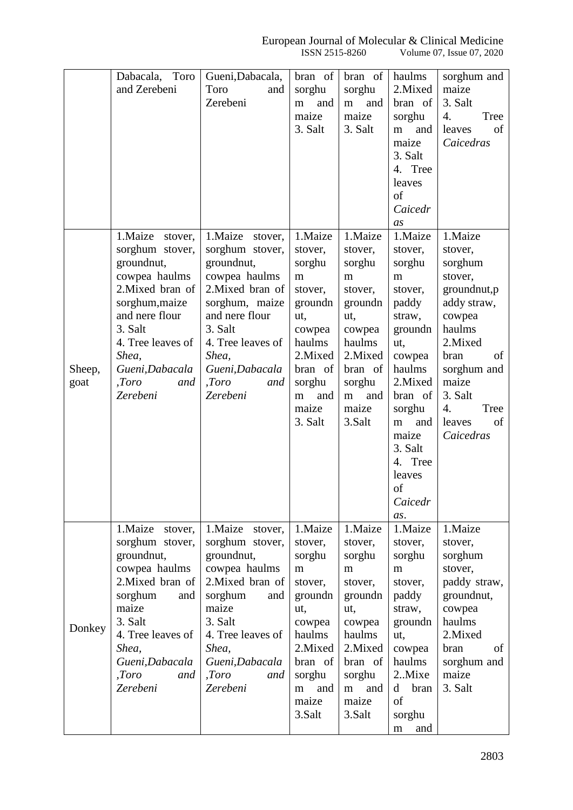|        | Dabacala, Toro                | Gueni, Dabacala,                  | bran of             | bran of             | haulms                        | sorghum and               |
|--------|-------------------------------|-----------------------------------|---------------------|---------------------|-------------------------------|---------------------------|
|        | and Zerebeni                  | Toro<br>and                       | sorghu              | sorghu              | 2.Mixed                       | maize                     |
|        |                               | Zerebeni                          | and<br>m            | and<br>${\bf m}$    | bran of                       | 3. Salt                   |
|        |                               |                                   | maize               | maize               | sorghu                        | 4.<br>Tree                |
|        |                               |                                   | 3. Salt             | 3. Salt             | and<br>m<br>maize             | leaves<br>of<br>Caicedras |
|        |                               |                                   |                     |                     | 3. Salt                       |                           |
|        |                               |                                   |                     |                     | 4. Tree                       |                           |
|        |                               |                                   |                     |                     | leaves                        |                           |
|        |                               |                                   |                     |                     | of                            |                           |
|        |                               |                                   |                     |                     | Caicedr                       |                           |
|        |                               |                                   |                     |                     | as                            |                           |
|        | 1.Maize<br>stover,            | 1. Maize<br>stover,               | 1.Maize             | 1.Maize             | 1.Maize                       | 1.Maize                   |
|        | sorghum stover,<br>groundnut, | sorghum stover,<br>groundnut,     | stover,<br>sorghu   | stover,<br>sorghu   | stover,<br>sorghu             | stover,<br>sorghum        |
|        | cowpea haulms                 | cowpea haulms                     | m                   | m                   | m                             | stover,                   |
|        | 2. Mixed bran of              | 2. Mixed bran of                  | stover,             | stover,             | stover,                       | groundnut,p               |
|        | sorghum, maize                | sorghum, maize                    | groundn             | groundn             | paddy                         | addy straw,               |
|        | and nere flour                | and nere flour                    | ut,                 | ut,                 | straw,                        | cowpea                    |
|        | 3. Salt                       | 3. Salt                           | cowpea              | cowpea              | groundn                       | haulms                    |
|        | 4. Tree leaves of             | 4. Tree leaves of                 | haulms              | haulms              | ut,                           | 2.Mixed                   |
| Sheep, | Shea,<br>Gueni, Dabacala      | Shea,<br>Gueni, Dabacala          | 2. Mixed<br>bran of | 2. Mixed<br>bran of | cowpea<br>haulms              | bran<br>of<br>sorghum and |
| goat   | ,Toro<br>and                  | ,Toro<br>and                      | sorghu              | sorghu              | 2. Mixed                      | maize                     |
|        | Zerebeni                      | Zerebeni                          | and<br>m            | and<br>${\bf m}$    | bran of                       | 3. Salt                   |
|        |                               |                                   | maize               | maize               | sorghu                        | 4.<br>Tree                |
|        |                               |                                   | 3. Salt             | 3.Salt              | and<br>m                      | of<br>leaves              |
|        |                               |                                   |                     |                     | maize                         | Caicedras                 |
|        |                               |                                   |                     |                     | 3. Salt                       |                           |
|        |                               |                                   |                     |                     | 4. Tree<br>leaves             |                           |
|        |                               |                                   |                     |                     | of                            |                           |
|        |                               |                                   |                     |                     | Caicedr                       |                           |
|        |                               |                                   |                     |                     | as.                           |                           |
|        | 1.Maize<br>stover,            | 1.Maize<br>stover,                | 1.Maize             | 1.Maize             | 1.Maize                       | 1.Maize                   |
|        | sorghum stover,               | sorghum stover,                   | stover,             | stover,             | stover,                       | stover,                   |
|        | groundnut,<br>cowpea haulms   | groundnut,                        | sorghu              | sorghu              | sorghu                        | sorghum                   |
|        | 2. Mixed bran of              | cowpea haulms<br>2. Mixed bran of | m<br>stover,        | m<br>stover,        | m<br>stover,                  | stover,<br>paddy straw,   |
|        | sorghum<br>and                | sorghum<br>and                    | groundn             | groundn             | paddy                         | groundnut,                |
|        | maize                         | maize                             | ut,                 | ut,                 | straw,                        | cowpea                    |
| Donkey | 3. Salt                       | 3. Salt                           | cowpea              | cowpea              | groundn                       | haulms                    |
|        | 4. Tree leaves of             | 4. Tree leaves of                 | haulms              | haulms              | ut,                           | 2.Mixed                   |
|        | Shea,                         | Shea,                             | 2. Mixed            | 2.Mixed             | cowpea                        | of<br>bran                |
|        | Gueni, Dabacala               | Gueni, Dabacala                   | bran of             | bran of             | haulms                        | sorghum and               |
|        | ,Toro<br>and<br>Zerebeni      | ,Toro<br>and<br>Zerebeni          | sorghu<br>and<br>m  | sorghu<br>and<br>m  | 2.Mixe<br>$\mathbf d$<br>bran | maize<br>3. Salt          |
|        |                               |                                   | maize               | maize               | of                            |                           |
|        |                               |                                   | 3.Salt              | 3.Salt              | sorghu                        |                           |
|        |                               |                                   |                     |                     | and<br>m                      |                           |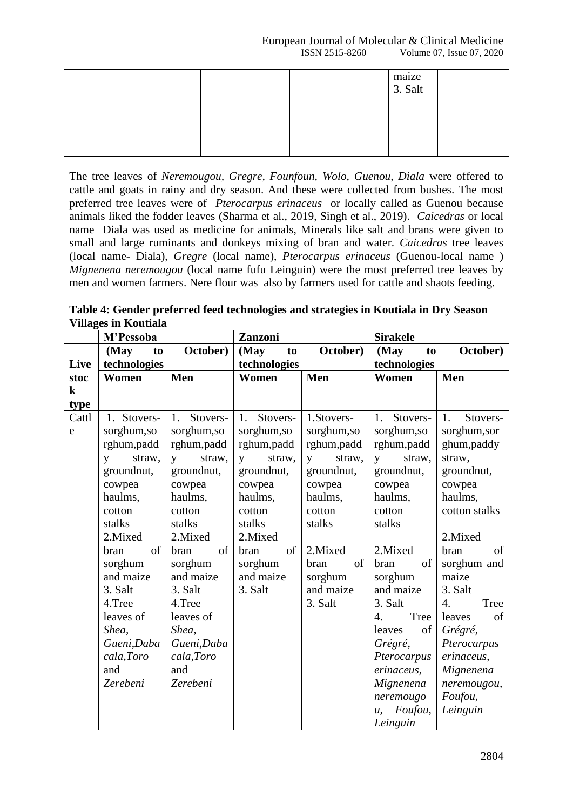|  |  | maize<br>3. Salt |  |
|--|--|------------------|--|
|  |  |                  |  |
|  |  |                  |  |

The tree leaves of *Neremougou, Gregre, Founfoun, Wolo, Guenou, Diala* were offered to cattle and goats in rainy and dry season. And these were collected from bushes. The most preferred tree leaves were of *Pterocarpus erinaceus* or locally called as Guenou because animals liked the fodder leaves (Sharma et al., 2019, Singh et al., 2019). *Caicedras* or local name Diala was used as medicine for animals, Minerals like salt and brans were given to small and large ruminants and donkeys mixing of bran and water. *Caicedras* tree leaves (local name- Diala), *Gregre* (local name), *Pterocarpus erinaceus* (Guenou-local name ) *Mignenena neremougou* (local name fufu Leinguin) were the most preferred tree leaves by men and women farmers. Nere flour was also by farmers used for cattle and shaots feeding.

|         | <b>Villages in Koutiala</b> |                        |                                                                                                            |                        |                          |                          |
|---------|-----------------------------|------------------------|------------------------------------------------------------------------------------------------------------|------------------------|--------------------------|--------------------------|
|         | M'Pessoba                   |                        | Zanzoni                                                                                                    |                        | <b>Sirakele</b>          |                          |
|         | (May<br>to                  | October)               | (May<br>to                                                                                                 | October)               | (May<br>to               | October)                 |
| Live    | technologies                |                        | technologies                                                                                               |                        | technologies             |                          |
| stoc    | Women                       | Men                    | Women                                                                                                      | Men                    | Women                    | Men                      |
| $\bf k$ |                             |                        |                                                                                                            |                        |                          |                          |
| type    |                             |                        |                                                                                                            |                        |                          |                          |
| Cattl   | Stovers-<br>$1_{\cdot}$     | Stovers-<br>1.         | 1.<br>Stovers-                                                                                             | 1.Stovers-             | Stovers-<br>1.           | 1.<br>Stovers-           |
| e       | sorghum, so                 | sorghum, so            | sorghum, so                                                                                                | sorghum, so            | sorghum, so              | sorghum, sor             |
|         | rghum, padd                 | rghum, padd            | rghum, padd                                                                                                | rghum, padd            | rghum, padd              | ghum, paddy              |
|         | straw,<br>$\mathbf{V}$      | straw,<br>$\mathbf{V}$ | straw,<br>$\overline{V}$                                                                                   | straw,<br>$\mathbf{V}$ | straw,<br>$\mathbf{V}$   | straw,                   |
|         | groundnut,                  | groundnut,             | groundnut,                                                                                                 | groundnut,             | groundnut,               | groundnut,               |
|         | cowpea                      | cowpea                 | cowpea                                                                                                     | cowpea                 | cowpea                   | cowpea                   |
|         | haulms,                     | haulms,                | haulms,                                                                                                    | haulms,                | haulms,                  | haulms,                  |
|         | cotton                      | cotton                 | cotton                                                                                                     | cotton                 | cotton                   | cotton stalks            |
|         | stalks                      | stalks                 | stalks                                                                                                     | stalks                 | stalks                   |                          |
|         | 2.Mixed                     | 2. Mixed               | 2.Mixed                                                                                                    |                        |                          | 2. Mixed                 |
|         | of<br>bran                  | bran<br>of             | $% \left( \left( \mathcal{A},\mathcal{A}\right) \right) =\left( \mathcal{A},\mathcal{A}\right)$ of<br>bran | 2. Mixed               | 2. Mixed                 | of<br>bran               |
|         | sorghum                     | sorghum                | sorghum                                                                                                    | of<br>bran             | bran<br>of               | sorghum and              |
|         | and maize                   | and maize              | and maize                                                                                                  | sorghum                | sorghum                  | maize                    |
|         | 3. Salt                     | 3. Salt                | 3. Salt                                                                                                    | and maize              | and maize                | 3. Salt                  |
|         | 4.Tree                      | 4.Tree                 |                                                                                                            | 3. Salt                | 3. Salt                  | $\overline{4}$ .<br>Tree |
|         | leaves of                   | leaves of              |                                                                                                            |                        | $\overline{4}$ .<br>Tree | of<br>leaves             |
|         | Shea,                       | Shea,                  |                                                                                                            |                        | leaves<br>of             | Grégré,                  |
|         | Gueni, Daba                 | Gueni, Daba            |                                                                                                            |                        | Grégré,                  | Pterocarpus              |
|         | cala, Toro                  | cala, Toro             |                                                                                                            |                        | Pterocarpus              | erinaceus,               |
|         | and                         | and                    |                                                                                                            |                        | erinaceus,               | Mignenena                |
|         | Zerebeni                    | Zerebeni               |                                                                                                            |                        | Mignenena                | neremougou,              |
|         |                             |                        |                                                                                                            |                        | neremougo                | Foufou,                  |
|         |                             |                        |                                                                                                            |                        | Foufou,<br>$u$ .         | Leinguin                 |
|         |                             |                        |                                                                                                            |                        | Leinguin                 |                          |

**Table 4: Gender preferred feed technologies and strategies in Koutiala in Dry Season**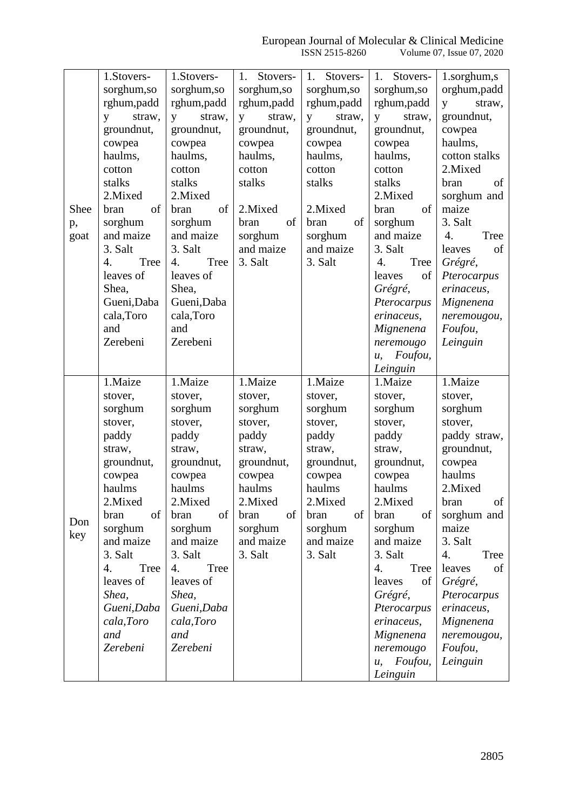|      | 1.Stovers-               | 1.Stovers-               | Stovers-<br>1. | Stovers-<br>1. | Stovers-<br>1.                        | 1.sorghum,s              |
|------|--------------------------|--------------------------|----------------|----------------|---------------------------------------|--------------------------|
|      | sorghum, so              | sorghum, so              | sorghum, so    | sorghum, so    | sorghum, so                           | orghum, padd             |
|      | rghum,padd               | rghum,padd               | rghum,padd     | rghum, padd    | rghum,padd                            | straw,<br>y              |
|      | straw,<br>y              | straw,<br>y              | straw,<br>y    | straw,<br>y    | straw,<br>y                           | groundnut,               |
|      | groundnut,               | groundnut,               | groundnut,     | groundnut,     | groundnut,                            | cowpea                   |
|      | cowpea                   | cowpea                   | cowpea         | cowpea         | cowpea                                | haulms,                  |
|      | haulms,                  | haulms,                  | haulms,        | haulms,        | haulms,                               | cotton stalks            |
|      | cotton                   | cotton                   | cotton         | cotton         | cotton                                | 2. Mixed                 |
|      | stalks                   | stalks                   | stalks         | stalks         | stalks                                | bran<br>of               |
|      | 2.Mixed                  | 2. Mixed                 |                |                | 2. Mixed                              | sorghum and              |
| Shee | of<br>bran               | of<br>bran               | 2. Mixed       | 2.Mixed        | of<br>bran                            | maize                    |
|      | sorghum                  | sorghum                  | of<br>bran     | of<br>bran     | sorghum                               | 3. Salt                  |
| p,   | and maize                | and maize                | sorghum        | sorghum        | and maize                             | $\overline{4}$ .<br>Tree |
| goat | 3. Salt                  | 3. Salt                  | and maize      | and maize      | 3. Salt                               | of<br>leaves             |
|      |                          |                          |                | 3. Salt        |                                       |                          |
|      | Tree<br>$\overline{4}$ . | $\overline{4}$ .<br>Tree | 3. Salt        |                | 4.<br>Tree                            | Grégré,                  |
|      | leaves of                | leaves of                |                |                | leaves<br>of                          | Pterocarpus              |
|      | Shea,                    | Shea,                    |                |                | Grégré,                               | erinaceus,               |
|      | Gueni, Daba              | Gueni, Daba              |                |                | Pterocarpus                           | Mignenena                |
|      | cala, Toro               | cala, Toro               |                |                | erinaceus,                            | neremougou,              |
|      | and                      | and                      |                |                | Mignenena                             | Foufou,                  |
|      | Zerebeni                 | Zerebeni                 |                |                | neremougo                             | Leinguin                 |
|      |                          |                          |                |                | Foufou,<br>u                          |                          |
|      |                          |                          |                |                | Leinguin                              |                          |
|      |                          |                          |                |                |                                       |                          |
|      | 1.Maize                  | 1.Maize                  | 1.Maize        | 1.Maize        | 1.Maize                               | 1.Maize                  |
|      | stover,                  | stover,                  | stover,        | stover,        | stover,                               | stover,                  |
|      | sorghum                  | sorghum                  | sorghum        | sorghum        | sorghum                               | sorghum                  |
|      | stover,                  | stover,                  | stover,        | stover,        | stover,                               | stover,                  |
|      | paddy                    | paddy                    | paddy          | paddy          | paddy                                 | paddy straw,             |
|      | straw,                   | straw,                   | straw,         | straw,         | straw,                                | groundnut,               |
|      | groundnut,               | groundnut,               | groundnut,     | groundnut,     | groundnut,                            | cowpea                   |
|      | cowpea                   | cowpea                   | cowpea         | cowpea         | cowpea                                | haulms                   |
|      | haulms                   | haulms                   | haulms         | haulms         | haulms                                | 2.Mixed                  |
|      | 2. Mixed                 | 2.Mixed                  | 2.Mixed        | 2.Mixed        | 2. Mixed                              | bran<br>of               |
|      | of                       |                          | of             | of             | οf                                    |                          |
| Don  | bran                     | of<br>bran               | bran           | bran           | bran                                  | sorghum and              |
| key  | sorghum                  | sorghum                  | sorghum        | sorghum        | sorghum                               | maize                    |
|      | and maize                | and maize                | and maize      | and maize      | and maize                             | 3. Salt                  |
|      | 3. Salt                  | 3. Salt                  | 3. Salt        | 3. Salt        | 3. Salt                               | 4.<br>Tree               |
|      | Tree<br>4.               | 4.<br>Tree               |                |                | 4.<br>Tree                            | of<br>leaves             |
|      | leaves of                | leaves of                |                |                | leaves<br>of                          | Grégré,                  |
|      | Shea,                    | Shea,                    |                |                | Grégré,                               | Pterocarpus              |
|      | Gueni, Daba              | Gueni, Daba              |                |                | Pterocarpus                           | erinaceus,               |
|      | cala, Toro               | cala, Toro               |                |                | erinaceus,                            | Mignenena                |
|      | and                      | and                      |                |                | Mignenena                             | neremougou,              |
|      | Zerebeni                 | Zerebeni                 |                |                | neremougo                             | Foufou,                  |
|      |                          |                          |                |                | Foufou,<br>$\mathcal{U},$<br>Leinguin | Leinguin                 |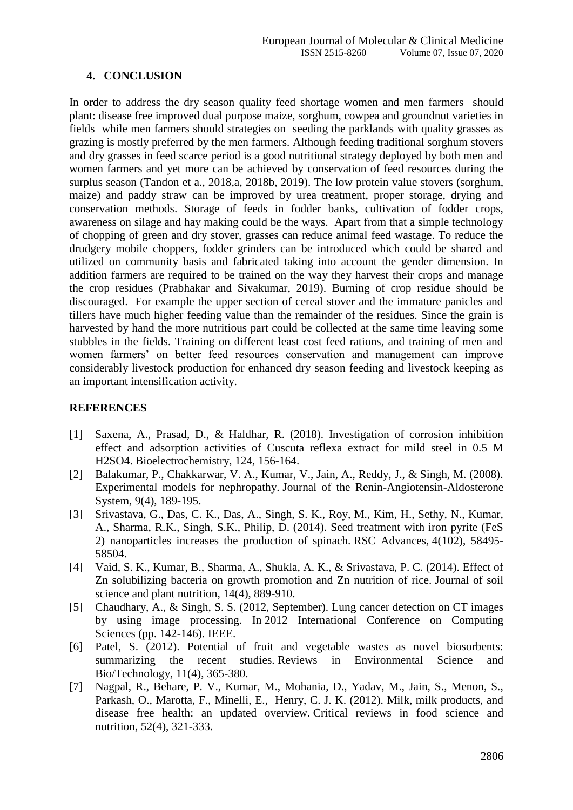# **4. CONCLUSION**

In order to address the dry season quality feed shortage women and men farmers should plant: disease free improved dual purpose maize, sorghum, cowpea and groundnut varieties in fields while men farmers should strategies on seeding the parklands with quality grasses as grazing is mostly preferred by the men farmers. Although feeding traditional sorghum stovers and dry grasses in feed scarce period is a good nutritional strategy deployed by both men and women farmers and yet more can be achieved by conservation of feed resources during the surplus season (Tandon et a., 2018,a, 2018b, 2019). The low protein value stovers (sorghum, maize) and paddy straw can be improved by urea treatment, proper storage, drying and conservation methods. Storage of feeds in fodder banks, cultivation of fodder crops, awareness on silage and hay making could be the ways. Apart from that a simple technology of chopping of green and dry stover, grasses can reduce animal feed wastage. To reduce the drudgery mobile choppers, fodder grinders can be introduced which could be shared and utilized on community basis and fabricated taking into account the gender dimension. In addition farmers are required to be trained on the way they harvest their crops and manage the crop residues (Prabhakar and Sivakumar, 2019). Burning of crop residue should be discouraged. For example the upper section of cereal stover and the immature panicles and tillers have much higher feeding value than the remainder of the residues. Since the grain is harvested by hand the more nutritious part could be collected at the same time leaving some stubbles in the fields. Training on different least cost feed rations, and training of men and women farmers' on better feed resources conservation and management can improve considerably livestock production for enhanced dry season feeding and livestock keeping as an important intensification activity.

# **REFERENCES**

- [1] Saxena, A., Prasad, D., & Haldhar, R. (2018). Investigation of corrosion inhibition effect and adsorption activities of Cuscuta reflexa extract for mild steel in 0.5 M H2SO4. Bioelectrochemistry, 124, 156-164.
- [2] Balakumar, P., Chakkarwar, V. A., Kumar, V., Jain, A., Reddy, J., & Singh, M. (2008). Experimental models for nephropathy. Journal of the Renin-Angiotensin-Aldosterone System, 9(4), 189-195.
- [3] Srivastava, G., Das, C. K., Das, A., Singh, S. K., Roy, M., Kim, H., Sethy, N., Kumar, A., Sharma, R.K., Singh, S.K., Philip, D. (2014). Seed treatment with iron pyrite (FeS 2) nanoparticles increases the production of spinach. RSC Advances, 4(102), 58495- 58504.
- [4] Vaid, S. K., Kumar, B., Sharma, A., Shukla, A. K., & Srivastava, P. C. (2014). Effect of Zn solubilizing bacteria on growth promotion and Zn nutrition of rice. Journal of soil science and plant nutrition, 14(4), 889-910.
- [5] Chaudhary, A., & Singh, S. S. (2012, September). Lung cancer detection on CT images by using image processing. In 2012 International Conference on Computing Sciences (pp. 142-146). IEEE.
- [6] Patel, S. (2012). Potential of fruit and vegetable wastes as novel biosorbents: summarizing the recent studies. Reviews in Environmental Science and Bio/Technology, 11(4), 365-380.
- [7] Nagpal, R., Behare, P. V., Kumar, M., Mohania, D., Yadav, M., Jain, S., Menon, S., Parkash, O., Marotta, F., Minelli, E., Henry, C. J. K. (2012). Milk, milk products, and disease free health: an updated overview. Critical reviews in food science and nutrition, 52(4), 321-333.